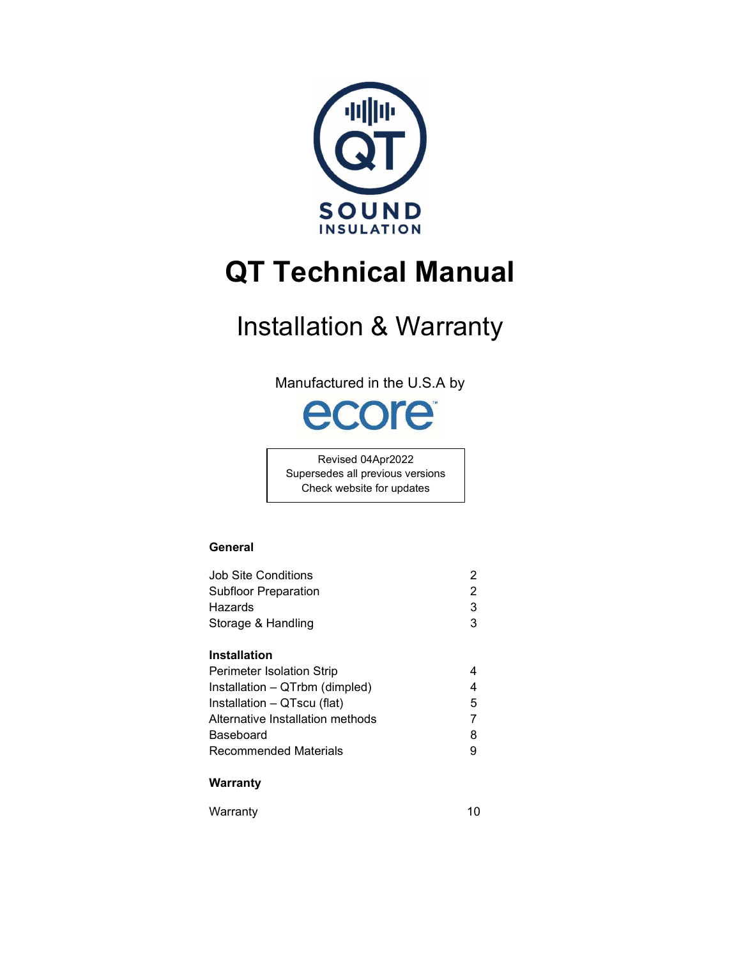

# QT Technical Manual

## Installation & Warranty

Manufactured in the U.S.A by



Revised 04Apr2022 Supersedes all previous versions Check website for updates

## **General**

| Job Site Conditions              | 2 |
|----------------------------------|---|
| <b>Subfloor Preparation</b>      | 2 |
| Hazards                          | 3 |
| Storage & Handling               | 3 |
| <b>Installation</b>              |   |
| Perimeter Isolation Strip        | 4 |
| Installation - QTrbm (dimpled)   | 4 |
| Installation - QTscu (flat)      | 5 |
| Alternative Installation methods |   |
| Baseboard                        | 8 |
| Recommended Materials            | 9 |
| Warranty                         |   |

| Warranty |  |
|----------|--|
|          |  |
|          |  |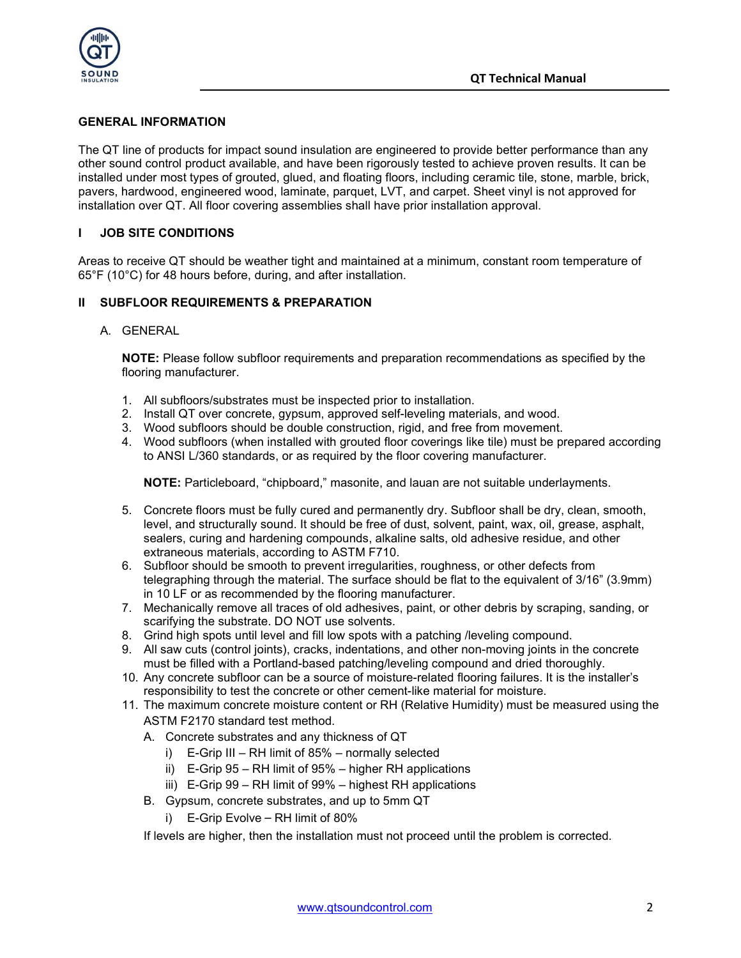

#### GENERAL INFORMATION

The QT line of products for impact sound insulation are engineered to provide better performance than any other sound control product available, and have been rigorously tested to achieve proven results. It can be installed under most types of grouted, glued, and floating floors, including ceramic tile, stone, marble, brick, pavers, hardwood, engineered wood, laminate, parquet, LVT, and carpet. Sheet vinyl is not approved for installation over QT. All floor covering assemblies shall have prior installation approval.

## I JOB SITE CONDITIONS

Areas to receive QT should be weather tight and maintained at a minimum, constant room temperature of 65°F (10°C) for 48 hours before, during, and after installation.

## II SUBFLOOR REQUIREMENTS & PREPARATION

#### A. GENERAL

NOTE: Please follow subfloor requirements and preparation recommendations as specified by the flooring manufacturer.

- 1. All subfloors/substrates must be inspected prior to installation.
- 2. Install QT over concrete, gypsum, approved self-leveling materials, and wood.
- 3. Wood subfloors should be double construction, rigid, and free from movement.
- 4. Wood subfloors (when installed with grouted floor coverings like tile) must be prepared according to ANSI L/360 standards, or as required by the floor covering manufacturer.

NOTE: Particleboard, "chipboard," masonite, and lauan are not suitable underlayments.

- 5. Concrete floors must be fully cured and permanently dry. Subfloor shall be dry, clean, smooth, level, and structurally sound. It should be free of dust, solvent, paint, wax, oil, grease, asphalt, sealers, curing and hardening compounds, alkaline salts, old adhesive residue, and other extraneous materials, according to ASTM F710.
- 6. Subfloor should be smooth to prevent irregularities, roughness, or other defects from telegraphing through the material. The surface should be flat to the equivalent of 3/16" (3.9mm) in 10 LF or as recommended by the flooring manufacturer.
- 7. Mechanically remove all traces of old adhesives, paint, or other debris by scraping, sanding, or scarifying the substrate. DO NOT use solvents.
- 8. Grind high spots until level and fill low spots with a patching /leveling compound.
- 9. All saw cuts (control joints), cracks, indentations, and other non-moving joints in the concrete must be filled with a Portland-based patching/leveling compound and dried thoroughly.
- 10. Any concrete subfloor can be a source of moisture-related flooring failures. It is the installer's responsibility to test the concrete or other cement-like material for moisture.
- 11. The maximum concrete moisture content or RH (Relative Humidity) must be measured using the ASTM F2170 standard test method.
	- A. Concrete substrates and any thickness of QT
		- i) E-Grip III RH limit of 85% normally selected
		- ii) E-Grip 95 RH limit of 95% higher RH applications
		- iii) E-Grip 99 RH limit of 99% highest RH applications
	- B. Gypsum, concrete substrates, and up to 5mm QT
		- i) E-Grip Evolve RH limit of 80%

If levels are higher, then the installation must not proceed until the problem is corrected.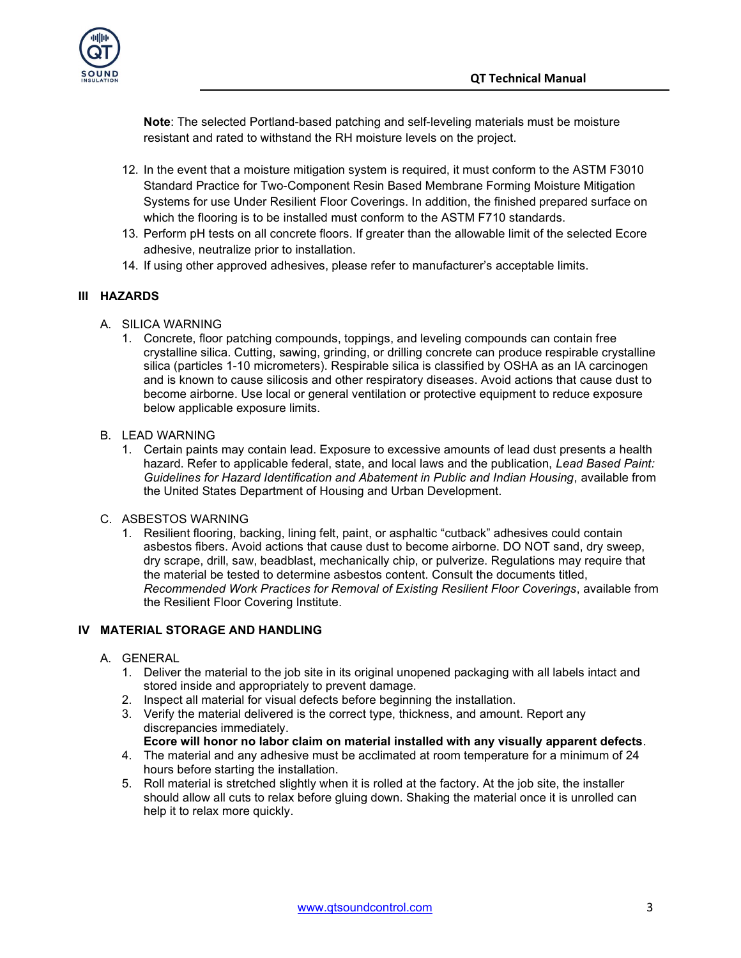

Note: The selected Portland-based patching and self-leveling materials must be moisture resistant and rated to withstand the RH moisture levels on the project.

- 12. In the event that a moisture mitigation system is required, it must conform to the ASTM F3010 Standard Practice for Two-Component Resin Based Membrane Forming Moisture Mitigation Systems for use Under Resilient Floor Coverings. In addition, the finished prepared surface on which the flooring is to be installed must conform to the ASTM F710 standards.
- 13. Perform pH tests on all concrete floors. If greater than the allowable limit of the selected Ecore adhesive, neutralize prior to installation.
- 14. If using other approved adhesives, please refer to manufacturer's acceptable limits.

## III HAZARDS

- A. SILICA WARNING
	- 1. Concrete, floor patching compounds, toppings, and leveling compounds can contain free crystalline silica. Cutting, sawing, grinding, or drilling concrete can produce respirable crystalline silica (particles 1-10 micrometers). Respirable silica is classified by OSHA as an IA carcinogen and is known to cause silicosis and other respiratory diseases. Avoid actions that cause dust to become airborne. Use local or general ventilation or protective equipment to reduce exposure below applicable exposure limits.
- B. LEAD WARNING
	- 1. Certain paints may contain lead. Exposure to excessive amounts of lead dust presents a health hazard. Refer to applicable federal, state, and local laws and the publication, Lead Based Paint: Guidelines for Hazard Identification and Abatement in Public and Indian Housing, available from the United States Department of Housing and Urban Development.
- C. ASBESTOS WARNING
	- 1. Resilient flooring, backing, lining felt, paint, or asphaltic "cutback" adhesives could contain asbestos fibers. Avoid actions that cause dust to become airborne. DO NOT sand, dry sweep, dry scrape, drill, saw, beadblast, mechanically chip, or pulverize. Regulations may require that the material be tested to determine asbestos content. Consult the documents titled, Recommended Work Practices for Removal of Existing Resilient Floor Coverings, available from the Resilient Floor Covering Institute.

#### IV MATERIAL STORAGE AND HANDLING

- A. GENERAL
	- 1. Deliver the material to the job site in its original unopened packaging with all labels intact and stored inside and appropriately to prevent damage.
	- 2. Inspect all material for visual defects before beginning the installation.
	- 3. Verify the material delivered is the correct type, thickness, and amount. Report any discrepancies immediately.
		- Ecore will honor no labor claim on material installed with any visually apparent defects.
	- 4. The material and any adhesive must be acclimated at room temperature for a minimum of 24 hours before starting the installation.
	- 5. Roll material is stretched slightly when it is rolled at the factory. At the job site, the installer should allow all cuts to relax before gluing down. Shaking the material once it is unrolled can help it to relax more quickly.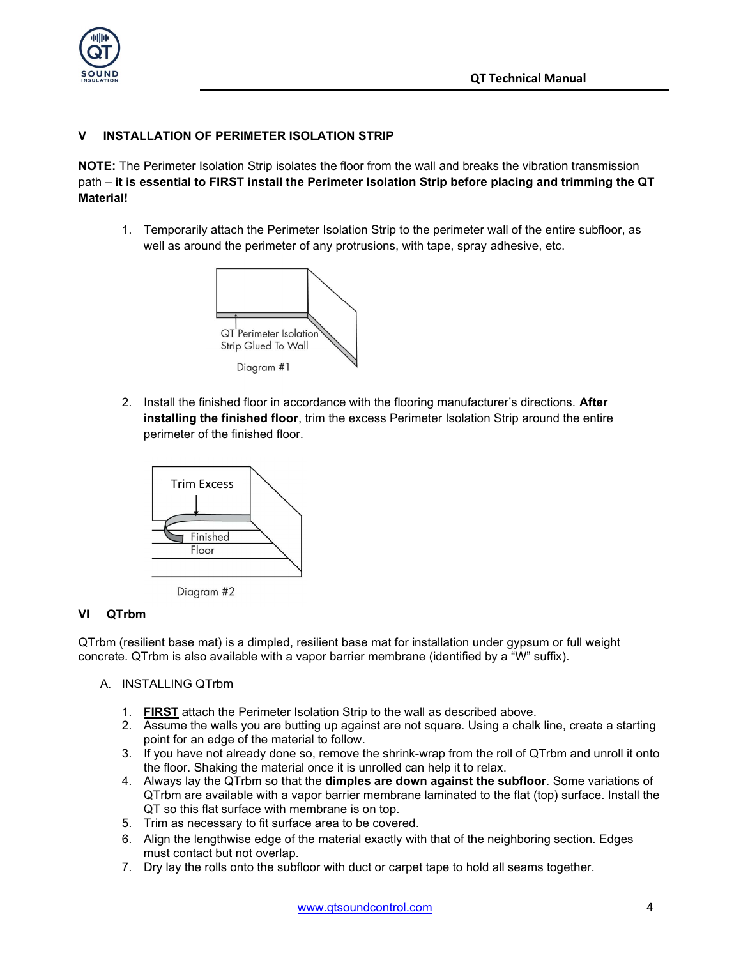

## INSTALLATION OF PERIMETER ISOLATION STRIP

NOTE: The Perimeter Isolation Strip isolates the floor from the wall and breaks the vibration transmission path – it is essential to FIRST install the Perimeter Isolation Strip before placing and trimming the QT Material!

1. Temporarily attach the Perimeter Isolation Strip to the perimeter wall of the entire subfloor, as well as around the perimeter of any protrusions, with tape, spray adhesive, etc.



2. Install the finished floor in accordance with the flooring manufacturer's directions. After installing the finished floor, trim the excess Perimeter Isolation Strip around the entire perimeter of the finished floor.



Diagram #2

#### VI QTrbm

QTrbm (resilient base mat) is a dimpled, resilient base mat for installation under gypsum or full weight concrete. QTrbm is also available with a vapor barrier membrane (identified by a "W" suffix).

- A. INSTALLING QTrbm
	- 1. FIRST attach the Perimeter Isolation Strip to the wall as described above.
	- 2. Assume the walls you are butting up against are not square. Using a chalk line, create a starting point for an edge of the material to follow.
	- 3. If you have not already done so, remove the shrink-wrap from the roll of QTrbm and unroll it onto the floor. Shaking the material once it is unrolled can help it to relax.
	- 4. Always lay the QTrbm so that the **dimples are down against the subfloor**. Some variations of QTrbm are available with a vapor barrier membrane laminated to the flat (top) surface. Install the QT so this flat surface with membrane is on top.
	- 5. Trim as necessary to fit surface area to be covered.
	- 6. Align the lengthwise edge of the material exactly with that of the neighboring section. Edges must contact but not overlap.
	- 7. Dry lay the rolls onto the subfloor with duct or carpet tape to hold all seams together.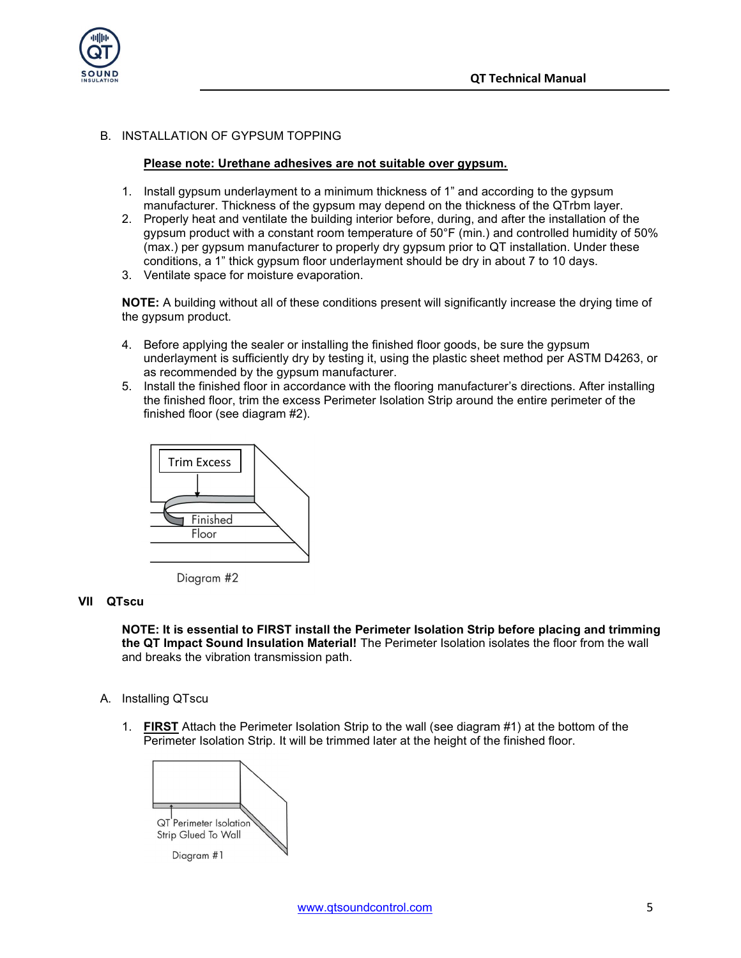

B. INSTALLATION OF GYPSUM TOPPING

#### Please note: Urethane adhesives are not suitable over gypsum.

- 1. Install gypsum underlayment to a minimum thickness of 1" and according to the gypsum manufacturer. Thickness of the gypsum may depend on the thickness of the QTrbm layer.
- 2. Properly heat and ventilate the building interior before, during, and after the installation of the gypsum product with a constant room temperature of 50°F (min.) and controlled humidity of 50% (max.) per gypsum manufacturer to properly dry gypsum prior to QT installation. Under these conditions, a 1" thick gypsum floor underlayment should be dry in about 7 to 10 days.
- 3. Ventilate space for moisture evaporation.

NOTE: A building without all of these conditions present will significantly increase the drying time of the gypsum product.

- 4. Before applying the sealer or installing the finished floor goods, be sure the gypsum underlayment is sufficiently dry by testing it, using the plastic sheet method per ASTM D4263, or as recommended by the gypsum manufacturer.
- 5. Install the finished floor in accordance with the flooring manufacturer's directions. After installing the finished floor, trim the excess Perimeter Isolation Strip around the entire perimeter of the finished floor (see diagram #2).



#### VII QTscu

NOTE: It is essential to FIRST install the Perimeter Isolation Strip before placing and trimming the QT Impact Sound Insulation Material! The Perimeter Isolation isolates the floor from the wall and breaks the vibration transmission path.

- A. Installing QTscu
	- 1. FIRST Attach the Perimeter Isolation Strip to the wall (see diagram #1) at the bottom of the Perimeter Isolation Strip. It will be trimmed later at the height of the finished floor.

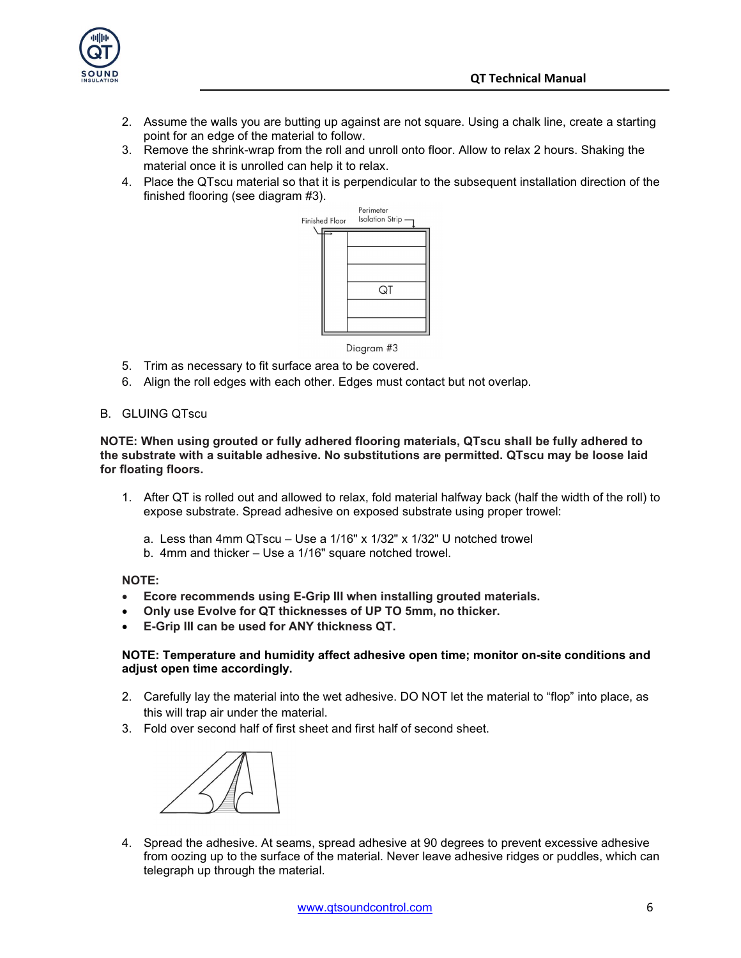

- 2. Assume the walls you are butting up against are not square. Using a chalk line, create a starting point for an edge of the material to follow.
- 3. Remove the shrink-wrap from the roll and unroll onto floor. Allow to relax 2 hours. Shaking the material once it is unrolled can help it to relax.
- 4. Place the QTscu material so that it is perpendicular to the subsequent installation direction of the finished flooring (see diagram #3).



Diagram #3

- 5. Trim as necessary to fit surface area to be covered.
- 6. Align the roll edges with each other. Edges must contact but not overlap.
- B. GLUING QTscu

NOTE: When using grouted or fully adhered flooring materials, QTscu shall be fully adhered to the substrate with a suitable adhesive. No substitutions are permitted. QTscu may be loose laid for floating floors.

- 1. After QT is rolled out and allowed to relax, fold material halfway back (half the width of the roll) to expose substrate. Spread adhesive on exposed substrate using proper trowel:
	- a. Less than 4mm QTscu Use a 1/16" x 1/32" x 1/32" U notched trowel
	- b. 4mm and thicker Use a 1/16" square notched trowel.

NOTE:

- Ecore recommends using E-Grip III when installing grouted materials.
- Only use Evolve for QT thicknesses of UP TO 5mm, no thicker.
- E-Grip III can be used for ANY thickness QT.

#### NOTE: Temperature and humidity affect adhesive open time; monitor on-site conditions and adjust open time accordingly.

- 2. Carefully lay the material into the wet adhesive. DO NOT let the material to "flop" into place, as this will trap air under the material.
- 3. Fold over second half of first sheet and first half of second sheet.

4. Spread the adhesive. At seams, spread adhesive at 90 degrees to prevent excessive adhesive from oozing up to the surface of the material. Never leave adhesive ridges or puddles, which can telegraph up through the material.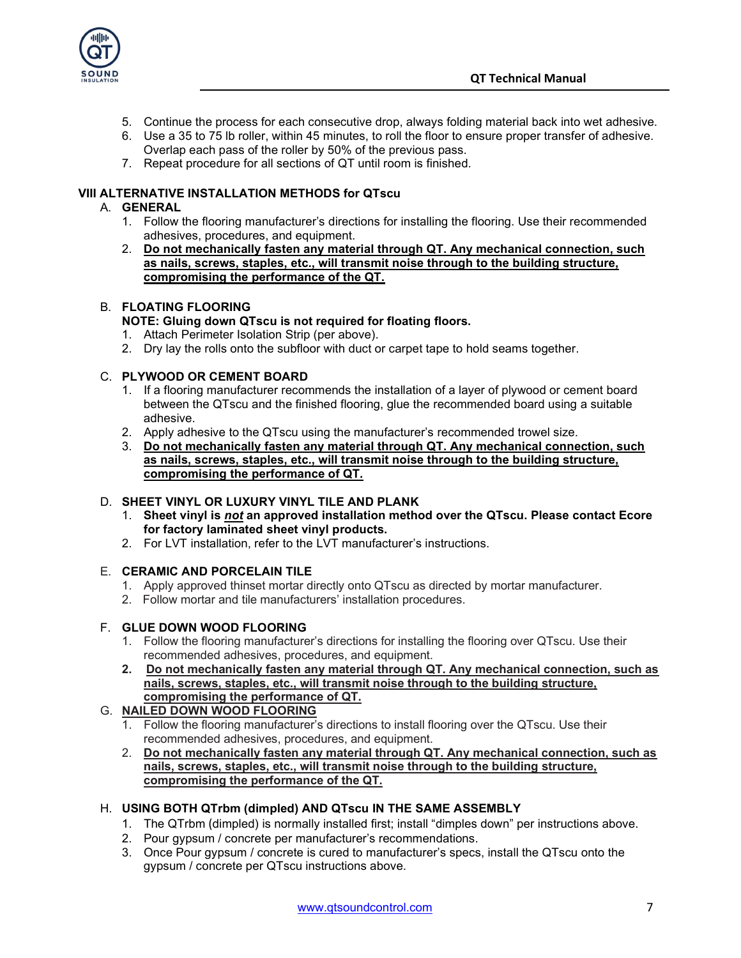

- 5. Continue the process for each consecutive drop, always folding material back into wet adhesive.
- 6. Use a 35 to 75 lb roller, within 45 minutes, to roll the floor to ensure proper transfer of adhesive. Overlap each pass of the roller by 50% of the previous pass.
- 7. Repeat procedure for all sections of QT until room is finished.

## VIII ALTERNATIVE INSTALLATION METHODS for QTscu

## A. GENERAL

- 1. Follow the flooring manufacturer's directions for installing the flooring. Use their recommended adhesives, procedures, and equipment.
- 2. Do not mechanically fasten any material through QT. Any mechanical connection, such as nails, screws, staples, etc., will transmit noise through to the building structure, compromising the performance of the QT.

## B. FLOATING FLOORING

## NOTE: Gluing down QTscu is not required for floating floors.

- 1. Attach Perimeter Isolation Strip (per above).
- 2. Dry lay the rolls onto the subfloor with duct or carpet tape to hold seams together.

## C. PLYWOOD OR CEMENT BOARD

- 1. If a flooring manufacturer recommends the installation of a layer of plywood or cement board between the QTscu and the finished flooring, glue the recommended board using a suitable adhesive.
- 2. Apply adhesive to the QTscu using the manufacturer's recommended trowel size.
- 3. Do not mechanically fasten any material through QT. Any mechanical connection, such as nails, screws, staples, etc., will transmit noise through to the building structure, compromising the performance of QT.

#### D. SHEET VINYL OR LUXURY VINYL TILE AND PLANK

- 1. Sheet vinyl is not an approved installation method over the QTscu. Please contact Ecore for factory laminated sheet vinyl products.
- 2. For LVT installation, refer to the LVT manufacturer's instructions.

#### E. CERAMIC AND PORCELAIN TILE

- 1. Apply approved thinset mortar directly onto QTscu as directed by mortar manufacturer.
- 2. Follow mortar and tile manufacturers' installation procedures.

## F. GLUE DOWN WOOD FLOORING

- 1. Follow the flooring manufacturer's directions for installing the flooring over QTscu. Use their recommended adhesives, procedures, and equipment.
- 2. Do not mechanically fasten any material through QT. Any mechanical connection, such as nails, screws, staples, etc., will transmit noise through to the building structure, compromising the performance of QT.

## G. NAILED DOWN WOOD FLOORING

- 1. Follow the flooring manufacturer's directions to install flooring over the QTscu. Use their recommended adhesives, procedures, and equipment.
- 2. Do not mechanically fasten any material through QT. Any mechanical connection, such as nails, screws, staples, etc., will transmit noise through to the building structure, compromising the performance of the QT.

## H. USING BOTH QTrbm (dimpled) AND QTscu IN THE SAME ASSEMBLY

- 1. The QTrbm (dimpled) is normally installed first; install "dimples down" per instructions above.
- 2. Pour gypsum / concrete per manufacturer's recommendations.
- 3. Once Pour gypsum / concrete is cured to manufacturer's specs, install the QTscu onto the gypsum / concrete per QTscu instructions above.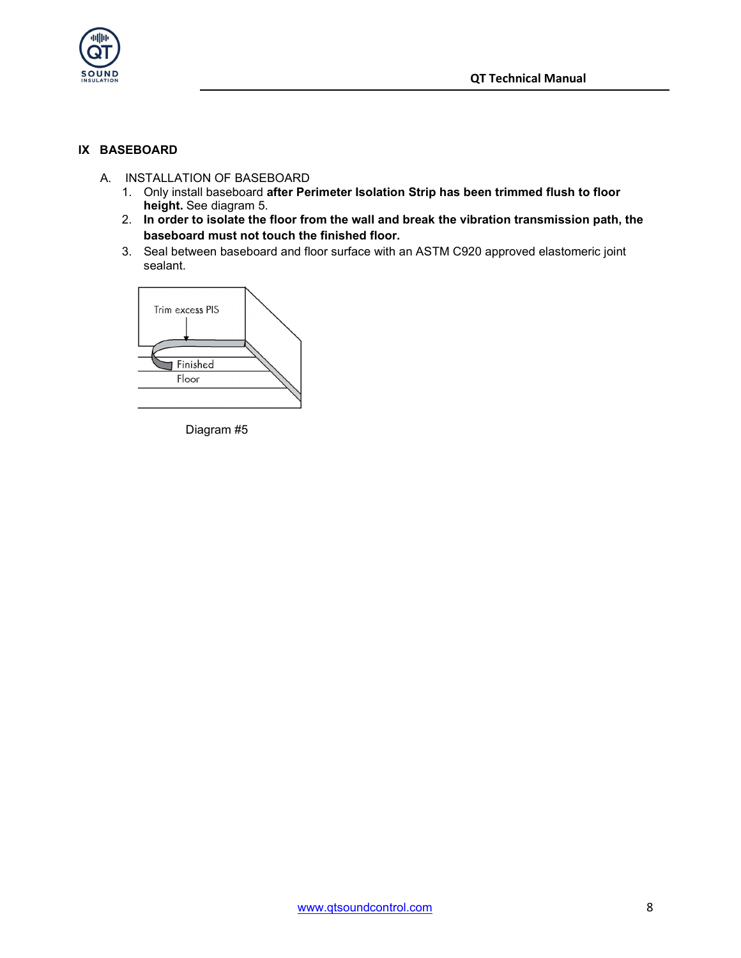

## IX BASEBOARD

- A. INSTALLATION OF BASEBOARD
	- 1. Only install baseboard after Perimeter Isolation Strip has been trimmed flush to floor height. See diagram 5.
	- 2. In order to isolate the floor from the wall and break the vibration transmission path, the baseboard must not touch the finished floor.
	- 3. Seal between baseboard and floor surface with an ASTM C920 approved elastomeric joint sealant.



Diagram #5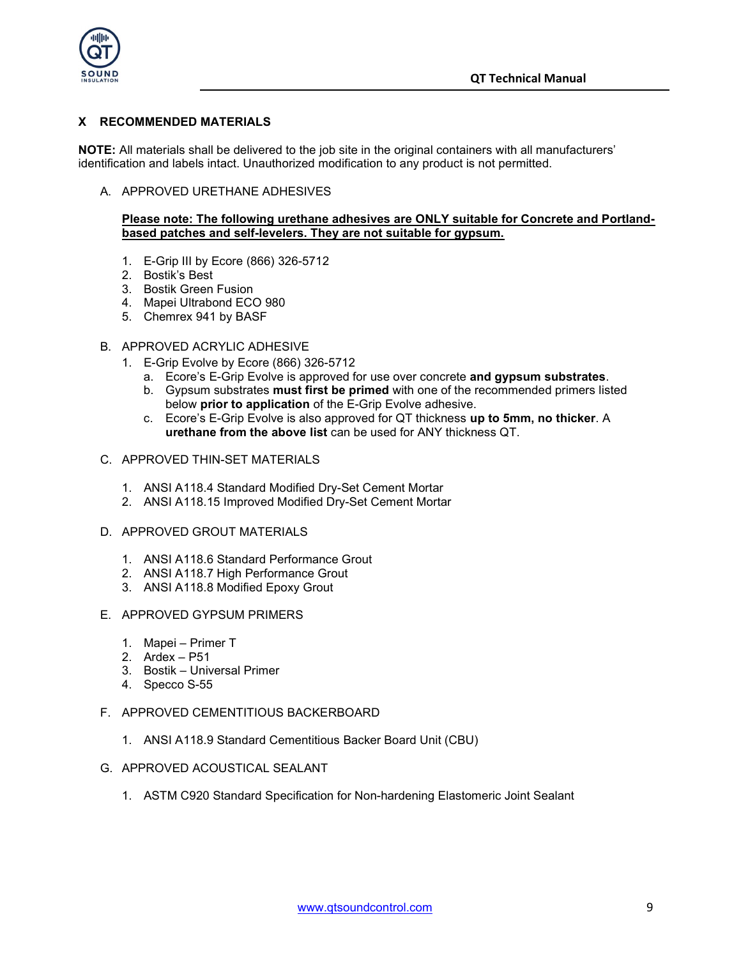

## X RECOMMENDED MATERIALS

NOTE: All materials shall be delivered to the job site in the original containers with all manufacturers' identification and labels intact. Unauthorized modification to any product is not permitted.

A. APPROVED URETHANE ADHESIVES

#### Please note: The following urethane adhesives are ONLY suitable for Concrete and Portlandbased patches and self-levelers. They are not suitable for gypsum.

- 1. E-Grip III by Ecore (866) 326-5712
- 2. Bostik's Best
- 3. Bostik Green Fusion
- 4. Mapei Ultrabond ECO 980
- 5. Chemrex 941 by BASF

#### B. APPROVED ACRYLIC ADHESIVE

- 1. E-Grip Evolve by Ecore (866) 326-5712
	- a. Ecore's E-Grip Evolve is approved for use over concrete and gypsum substrates.
	- b. Gypsum substrates **must first be primed** with one of the recommended primers listed below prior to application of the E-Grip Evolve adhesive.
	- c. Ecore's E-Grip Evolve is also approved for QT thickness up to 5mm, no thicker. A urethane from the above list can be used for ANY thickness QT.
- C. APPROVED THIN-SET MATERIALS
	- 1. ANSI A118.4 Standard Modified Dry-Set Cement Mortar
	- 2. ANSI A118.15 Improved Modified Dry-Set Cement Mortar
- D. APPROVED GROUT MATERIALS
	- 1. ANSI A118.6 Standard Performance Grout
	- 2. ANSI A118.7 High Performance Grout
	- 3. ANSI A118.8 Modified Epoxy Grout
- E. APPROVED GYPSUM PRIMERS
	- 1. Mapei Primer T
	- 2. Ardex P51
	- 3. Bostik Universal Primer
	- 4. Specco S-55
- F. APPROVED CEMENTITIOUS BACKERBOARD
	- 1. ANSI A118.9 Standard Cementitious Backer Board Unit (CBU)
- G. APPROVED ACOUSTICAL SEALANT
	- 1. ASTM C920 Standard Specification for Non-hardening Elastomeric Joint Sealant